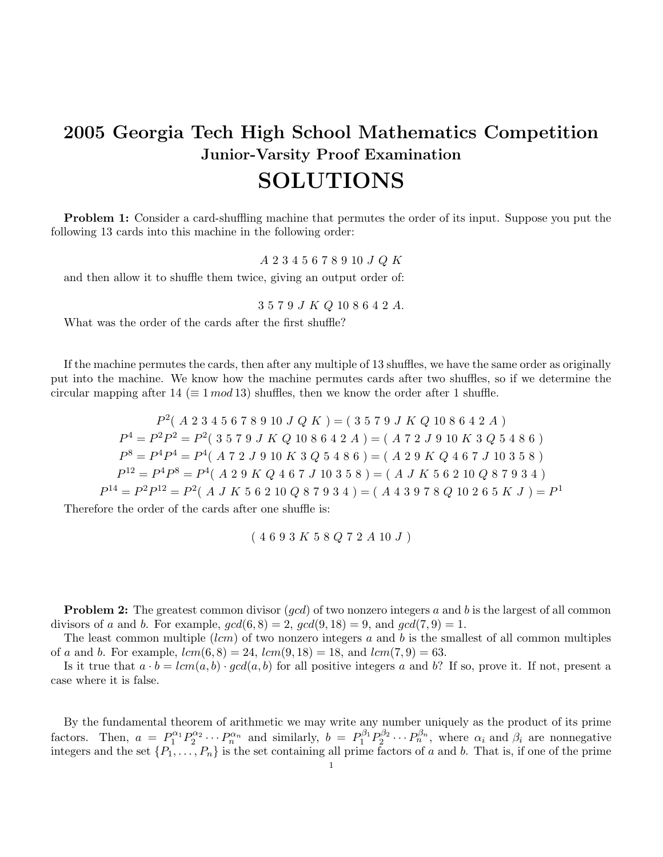## 2005 Georgia Tech High School Mathematics Competition Junior-Varsity Proof Examination SOLUTIONS

Problem 1: Consider a card-shuffling machine that permutes the order of its input. Suppose you put the following 13 cards into this machine in the following order:

A 2 3 4 5 6 7 8 9 10 J Q K

and then allow it to shuffle them twice, giving an output order of:

3 5 7 9 J K Q 10 8 6 4 2 A.

What was the order of the cards after the first shuffle?

If the machine permutes the cards, then after any multiple of 13 shuffles, we have the same order as originally put into the machine. We know how the machine permutes cards after two shuffles, so if we determine the circular mapping after 14 ( $\equiv 1 \mod 13$ ) shuffles, then we know the order after 1 shuffle.

 $P^2($  A 2 3 4 5 6 7 8 9 10 J Q K  $) = ($  3 5 7 9 J K Q 10 8 6 4 2 A  $)$  $P^4 = P^2P^2 = P^2(3\ 5\ 7\ 9\ J\ K\ Q\ 10\ 8\ 6\ 4\ 2\ A\ ) = (A\ 7\ 2\ J\ 9\ 10\ K\ 3\ Q\ 5\ 4\ 8\ 6\ )$  $P^8 = P^4P^4 = P^4(A\ 7\ 2\ J\ 9\ 10\ K\ 3\ Q\ 5\ 4\ 8\ 6\ ) = (A\ 2\ 9\ K\ Q\ 4\ 6\ 7\ J\ 10\ 3\ 5\ 8\ )$  $P^{12} = P^4 P^8 = P^4(A\; 2\; 9\; K\; Q\; 4\; 6\; 7\; J\; 10\; 3\; 5\; 8\; ) = (A\; J\; K\; 5\; 6\; 2\; 10\; Q\; 8\; 7\; 9\; 3\; 4\; )$  $P^{14} = P^2 P^{12} = P^2(A \cup K 5 6 2 10 Q 8 7 9 3 4) = (A 4 3 9 7 8 Q 10 2 6 5 K J) = P^1$ 

Therefore the order of the cards after one shuffle is:

 $(4693K58Q72A10J)$ 

**Problem 2:** The greatest common divisor  $(qcd)$  of two nonzero integers a and b is the largest of all common divisors of a and b. For example,  $gcd(6, 8) = 2$ ,  $gcd(9, 18) = 9$ , and  $gcd(7, 9) = 1$ .

The least common multiple  $(lcm)$  of two nonzero integers a and b is the smallest of all common multiples of a and b. For example,  $lcm(6, 8) = 24$ ,  $lcm(9, 18) = 18$ , and  $lcm(7, 9) = 63$ .

Is it true that  $a \cdot b = lcm(a, b) \cdot gcd(a, b)$  for all positive integers a and b? If so, prove it. If not, present a case where it is false.

By the fundamental theorem of arithmetic we may write any number uniquely as the product of its prime factors. Then,  $a = P_1^{\alpha_1} P_2^{\alpha_2}$  $e^{i\alpha_2} \cdots P_n^{\alpha_n}$  and similarly,  $b = P_1^{\beta_1} P_2^{\beta_2}$  $\frac{\beta_2}{2} \cdots P_n^{\beta_n}$ , where  $\alpha_i$  and  $\beta_i$  are nonnegative integers and the set  $\{P_1, \ldots, P_n\}$  is the set containing all prime factors of a and b. That is, if one of the prime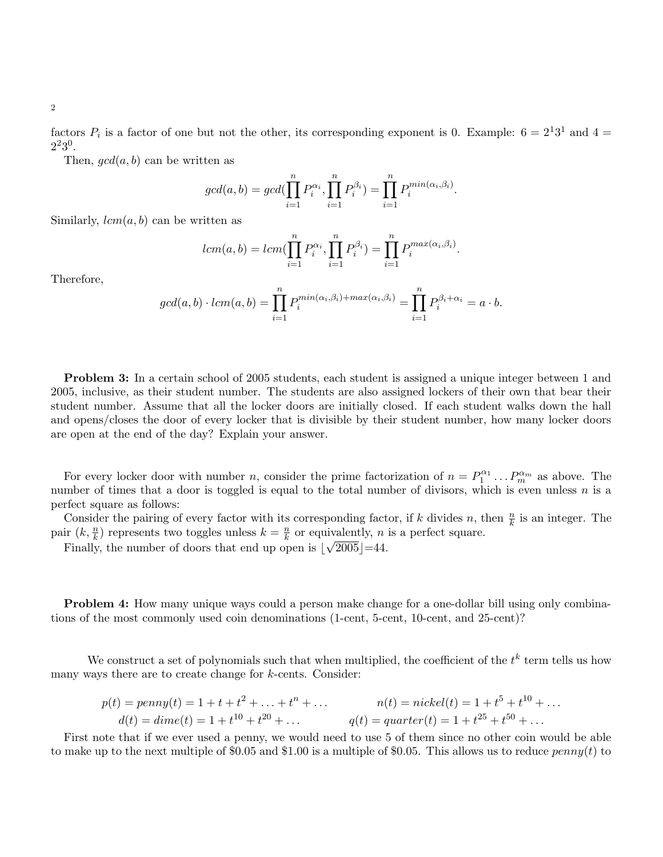factors  $P_i$  is a factor of one but not the other, its corresponding exponent is 0. Example:  $6 = 2^13^1$  and  $4 =$  $2^2 3^0$ .

Then,  $gcd(a, b)$  can be written as

$$
gcd(a, b) = gcd(\prod_{i=1}^{n} P_i^{\alpha_i}, \prod_{i=1}^{n} P_i^{\beta_i}) = \prod_{i=1}^{n} P_i^{min(\alpha_i, \beta_i)}.
$$

Similarly,  $lcm(a, b)$  can be written as

$$
lcm(a, b) = lcm(\prod_{i=1}^{n} P_i^{\alpha_i}, \prod_{i=1}^{n} P_i^{\beta_i}) = \prod_{i=1}^{n} P_i^{max(\alpha_i, \beta_i)}.
$$

Therefore,

$$
gcd(a,b) \cdot lcm(a,b) = \prod_{i=1}^n P_i^{\min(\alpha_i,\beta_i) + \max(\alpha_i,\beta_i)} = \prod_{i=1}^n P_i^{\beta_i + \alpha_i} = a \cdot b.
$$

Problem 3: In a certain school of 2005 students, each student is assigned a unique integer between 1 and 2005, inclusive, as their student number. The students are also assigned lockers of their own that bear their student number. Assume that all the locker doors are initially closed. If each student walks down the hall and opens/closes the door of every locker that is divisible by their student number, how many locker doors are open at the end of the day? Explain your answer.

For every locker door with number *n*, consider the prime factorization of  $n = P_1^{\alpha_1}$  $P_1^{\alpha_1} \dots P_m^{\alpha_m}$  as above. The number of times that a door is toggled is equal to the total number of divisors, which is even unless  $n$  is a perfect square as follows:

Consider the pairing of every factor with its corresponding factor, if k divides n, then  $\frac{n}{k}$  is an integer. The pair  $(k, \frac{n}{k})$  $\frac{n}{k}$ ) represents two toggles unless  $k = \frac{n}{k}$  $\frac{n}{k}$  or equivalently, *n* is a perfect square.

Finally, the number of doors that end up open is  $\lfloor \sqrt{2005} \rfloor = 44$ .

Problem 4: How many unique ways could a person make change for a one-dollar bill using only combinations of the most commonly used coin denominations (1-cent, 5-cent, 10-cent, and 25-cent)?

We construct a set of polynomials such that when multiplied, the coefficient of the  $t^k$  term tells us how many ways there are to create change for k-cents. Consider:

$$
p(t) = penny(t) = 1 + t + t2 + ... + tn + ...
$$
  
\n
$$
n(t) = nickel(t) = 1 + t5 + t10 + ...
$$
  
\n
$$
q(t) = diameter(t) = 1 + t25 + t50 + ...
$$

First note that if we ever used a penny, we would need to use 5 of them since no other coin would be able to make up to the next multiple of \$0.05 and \$1.00 is a multiple of \$0.05. This allows us to reduce  $penny(t)$  to